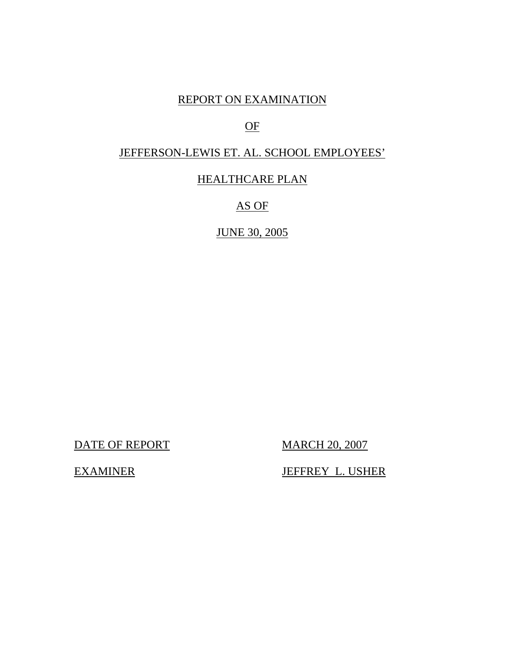# REPORT ON EXAMINATION

# OF

# JEFFERSON-LEWIS ET. AL. SCHOOL EMPLOYEES'

# HEALTHCARE PLAN

# AS OF

# JUNE 30, 2005

DATE OF REPORT MARCH 20, 2007

EXAMINER JEFFREY L. USHER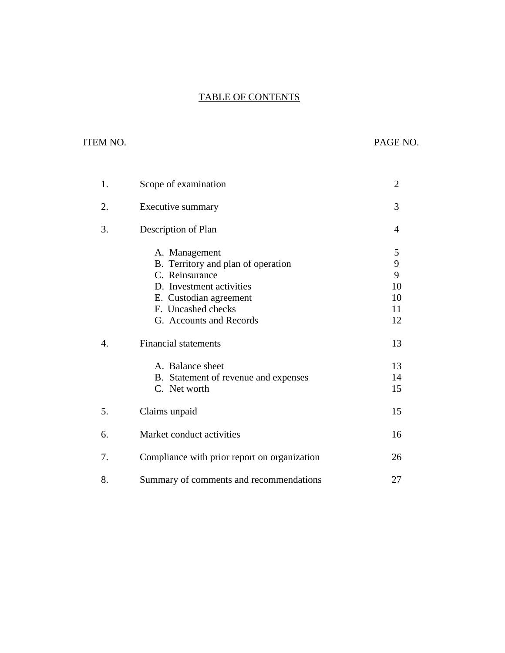# **TABLE OF CONTENTS** TABLE OF CONTENTS ITEM NO. PAGE NO.

# **ITEM NO.**

| 1.               | Scope of examination                                                                                                                                                         | $\overline{2}$                      |
|------------------|------------------------------------------------------------------------------------------------------------------------------------------------------------------------------|-------------------------------------|
| 2.               | Executive summary                                                                                                                                                            | 3                                   |
| 3.               | Description of Plan                                                                                                                                                          | 4                                   |
|                  | A. Management<br>B. Territory and plan of operation<br>C. Reinsurance<br>D. Investment activities<br>E. Custodian agreement<br>F. Uncashed checks<br>G. Accounts and Records | 5<br>9<br>9<br>10<br>10<br>11<br>12 |
| $\overline{4}$ . | <b>Financial statements</b><br>A. Balance sheet<br>B. Statement of revenue and expenses<br>C. Net worth                                                                      | 13<br>13<br>14<br>15                |
| 5.               | Claims unpaid                                                                                                                                                                | 15                                  |
| 6.               | Market conduct activities                                                                                                                                                    | 16                                  |
| 7.               | Compliance with prior report on organization                                                                                                                                 | 26                                  |
| 8.               | Summary of comments and recommendations                                                                                                                                      | 27                                  |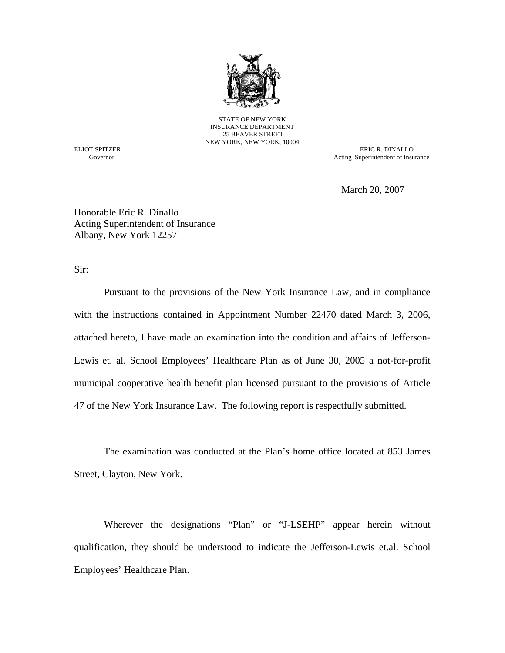

STATE OF NEW YORK INSURANCE DEPARTMENT 25 BEAVER STREET NEW YORK, NEW YORK, 10004

Governor

ELIOT SPITZER ERIC R. DINALLO Acting Superintendent of Insurance

March 20, 2007

Honorable Eric R. Dinallo Acting Superintendent of Insurance Albany, New York 12257

Sir:

Pursuant to the provisions of the New York Insurance Law, and in compliance with the instructions contained in Appointment Number 22470 dated March 3, 2006, attached hereto, I have made an examination into the condition and affairs of Jefferson-Lewis et. al. School Employees' Healthcare Plan as of June 30, 2005 a not-for-profit municipal cooperative health benefit plan licensed pursuant to the provisions of Article 47 of the New York Insurance Law. The following report is respectfully submitted.

The examination was conducted at the Plan's home office located at 853 James Street, Clayton, New York.

Wherever the designations "Plan" or "J-LSEHP" appear herein without qualification, they should be understood to indicate the Jefferson-Lewis et.al. School Employees' Healthcare Plan.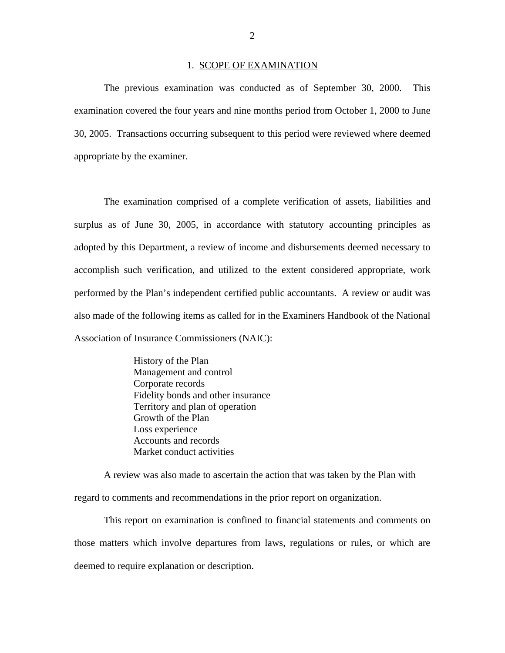#### 1. SCOPE OF EXAMINATION

<span id="page-3-0"></span>The previous examination was conducted as of September 30, 2000. This examination covered the four years and nine months period from October 1, 2000 to June 30, 2005. Transactions occurring subsequent to this period were reviewed where deemed appropriate by the examiner.

The examination comprised of a complete verification of assets, liabilities and surplus as of June 30, 2005, in accordance with statutory accounting principles as adopted by this Department, a review of income and disbursements deemed necessary to accomplish such verification, and utilized to the extent considered appropriate, work performed by the Plan's independent certified public accountants. A review or audit was also made of the following items as called for in the Examiners Handbook of the National Association of Insurance Commissioners (NAIC):

> History of the Plan Management and control Corporate records Fidelity bonds and other insurance Territory and plan of operation Growth of the Plan Loss experience Accounts and records Market conduct activities

A review was also made to ascertain the action that was taken by the Plan with regard to comments and recommendations in the prior report on organization.

This report on examination is confined to financial statements and comments on those matters which involve departures from laws, regulations or rules, or which are deemed to require explanation or description.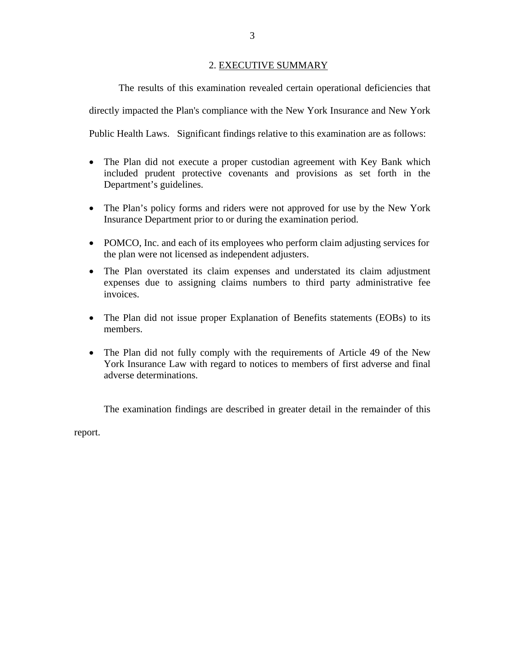# 2. EXECUTIVE SUMMARY

<span id="page-4-0"></span>The results of this examination revealed certain operational deficiencies that directly impacted the Plan's compliance with the New York Insurance and New York Public Health Laws. Significant findings relative to this examination are as follows:

- The Plan did not execute a proper custodian agreement with Key Bank which included prudent protective covenants and provisions as set forth in the Department's guidelines.
- The Plan's policy forms and riders were not approved for use by the New York Insurance Department prior to or during the examination period.
- POMCO, Inc. and each of its employees who perform claim adjusting services for the plan were not licensed as independent adjusters.
- The Plan overstated its claim expenses and understated its claim adjustment expenses due to assigning claims numbers to third party administrative fee invoices.
- The Plan did not issue proper Explanation of Benefits statements (EOBs) to its members.
- The Plan did not fully comply with the requirements of Article 49 of the New York Insurance Law with regard to notices to members of first adverse and final adverse determinations.

The examination findings are described in greater detail in the remainder of this

report.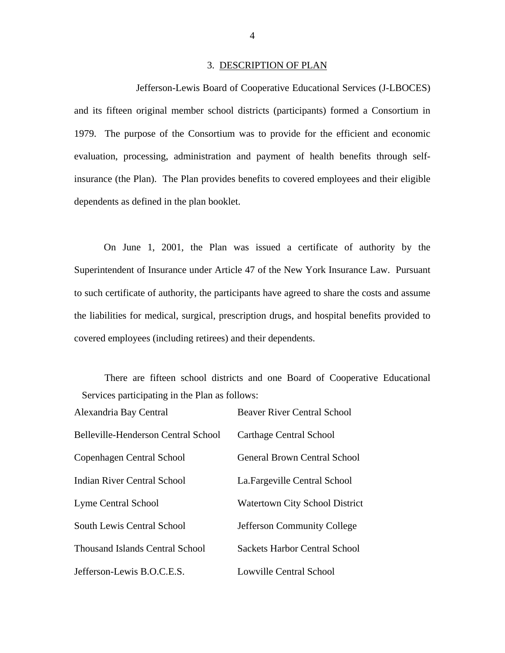#### 3. DESCRIPTION OF PLAN

Jefferson-Lewis Board of Cooperative Educational Services (J-LBOCES) and its fifteen original member school districts (participants) formed a Consortium in 1979. The purpose of the Consortium was to provide for the efficient and economic evaluation, processing, administration and payment of health benefits through selfinsurance (the Plan). The Plan provides benefits to covered employees and their eligible dependents as defined in the plan booklet.

On June 1, 2001, the Plan was issued a certificate of authority by the Superintendent of Insurance under Article 47 of the New York Insurance Law. Pursuant to such certificate of authority, the participants have agreed to share the costs and assume the liabilities for medical, surgical, prescription drugs, and hospital benefits provided to covered employees (including retirees) and their dependents.

There are fifteen school districts and one Board of Cooperative Educational Services participating in the Plan as follows:

| Alexandria Bay Central                 | <b>Beaver River Central School</b>    |
|----------------------------------------|---------------------------------------|
| Belleville-Henderson Central School    | Carthage Central School               |
| Copenhagen Central School              | <b>General Brown Central School</b>   |
| Indian River Central School            | La. Fargeville Central School         |
| <b>Lyme Central School</b>             | <b>Watertown City School District</b> |
| South Lewis Central School             | <b>Jefferson Community College</b>    |
| <b>Thousand Islands Central School</b> | Sackets Harbor Central School         |
| Jefferson-Lewis B.O.C.E.S.             | Lowville Central School               |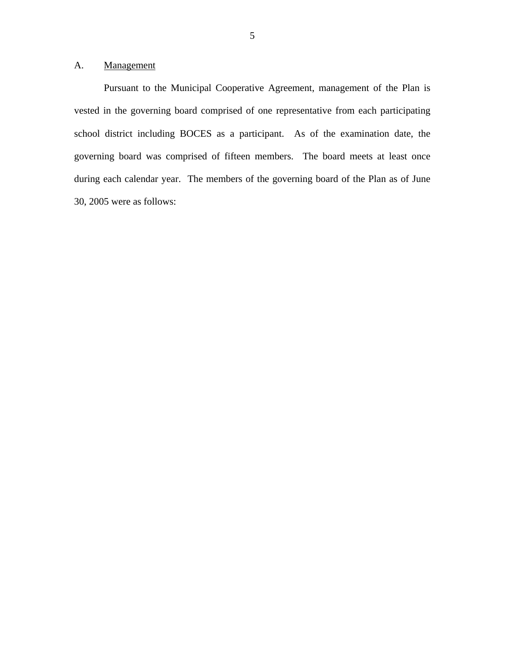# <span id="page-6-0"></span>A. Management

Pursuant to the Municipal Cooperative Agreement, management of the Plan is vested in the governing board comprised of one representative from each participating school district including BOCES as a participant. As of the examination date, the governing board was comprised of fifteen members. The board meets at least once during each calendar year. The members of the governing board of the Plan as of June 30, 2005 were as follows: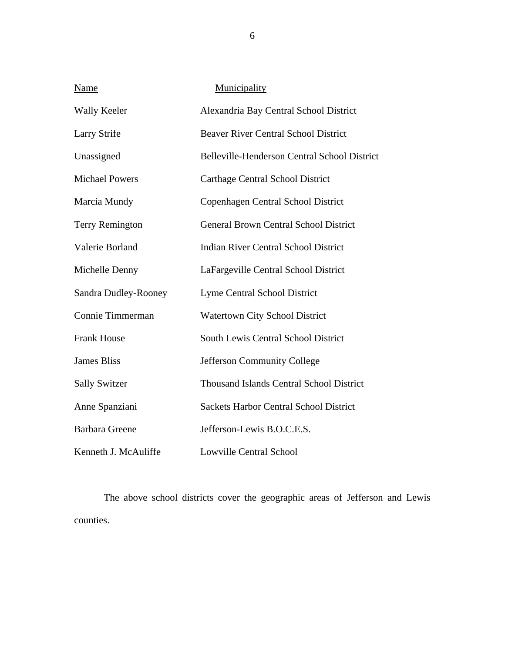| Name                   | Municipality                                    |
|------------------------|-------------------------------------------------|
| <b>Wally Keeler</b>    | Alexandria Bay Central School District          |
| <b>Larry Strife</b>    | <b>Beaver River Central School District</b>     |
| Unassigned             | Belleville-Henderson Central School District    |
| <b>Michael Powers</b>  | <b>Carthage Central School District</b>         |
| Marcia Mundy           | Copenhagen Central School District              |
| <b>Terry Remington</b> | <b>General Brown Central School District</b>    |
| Valerie Borland        | <b>Indian River Central School District</b>     |
| Michelle Denny         | LaFargeville Central School District            |
| Sandra Dudley-Rooney   | <b>Lyme Central School District</b>             |
| Connie Timmerman       | <b>Watertown City School District</b>           |
| <b>Frank House</b>     | South Lewis Central School District             |
| <b>James Bliss</b>     | Jefferson Community College                     |
| <b>Sally Switzer</b>   | <b>Thousand Islands Central School District</b> |
| Anne Spanziani         | <b>Sackets Harbor Central School District</b>   |
| <b>Barbara Greene</b>  | Jefferson-Lewis B.O.C.E.S.                      |
| Kenneth J. McAuliffe   | <b>Lowville Central School</b>                  |

The above school districts cover the geographic areas of Jefferson and Lewis counties.

6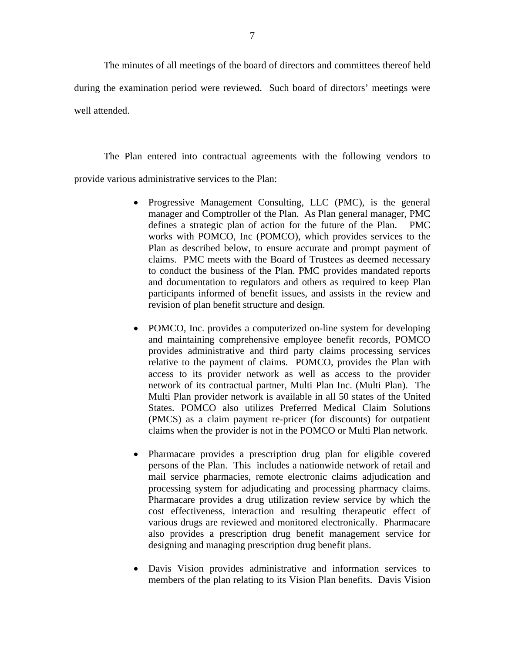The minutes of all meetings of the board of directors and committees thereof held during the examination period were reviewed. Such board of directors' meetings were well attended.

The Plan entered into contractual agreements with the following vendors to provide various administrative services to the Plan:

- Progressive Management Consulting, LLC (PMC), is the general manager and Comptroller of the Plan. As Plan general manager, PMC defines a strategic plan of action for the future of the Plan. PMC works with POMCO, Inc (POMCO), which provides services to the Plan as described below, to ensure accurate and prompt payment of claims. PMC meets with the Board of Trustees as deemed necessary to conduct the business of the Plan. PMC provides mandated reports and documentation to regulators and others as required to keep Plan participants informed of benefit issues, and assists in the review and revision of plan benefit structure and design.
- POMCO, Inc. provides a computerized on-line system for developing and maintaining comprehensive employee benefit records, POMCO provides administrative and third party claims processing services relative to the payment of claims. POMCO, provides the Plan with access to its provider network as well as access to the provider network of its contractual partner, Multi Plan Inc. (Multi Plan). The Multi Plan provider network is available in all 50 states of the United States. POMCO also utilizes Preferred Medical Claim Solutions (PMCS) as a claim payment re-pricer (for discounts) for outpatient claims when the provider is not in the POMCO or Multi Plan network.
- Pharmacare provides a prescription drug plan for eligible covered persons of the Plan. This includes a nationwide network of retail and mail service pharmacies, remote electronic claims adjudication and processing system for adjudicating and processing pharmacy claims. Pharmacare provides a drug utilization review service by which the cost effectiveness, interaction and resulting therapeutic effect of various drugs are reviewed and monitored electronically. Pharmacare also provides a prescription drug benefit management service for designing and managing prescription drug benefit plans.
- Davis Vision provides administrative and information services to members of the plan relating to its Vision Plan benefits. Davis Vision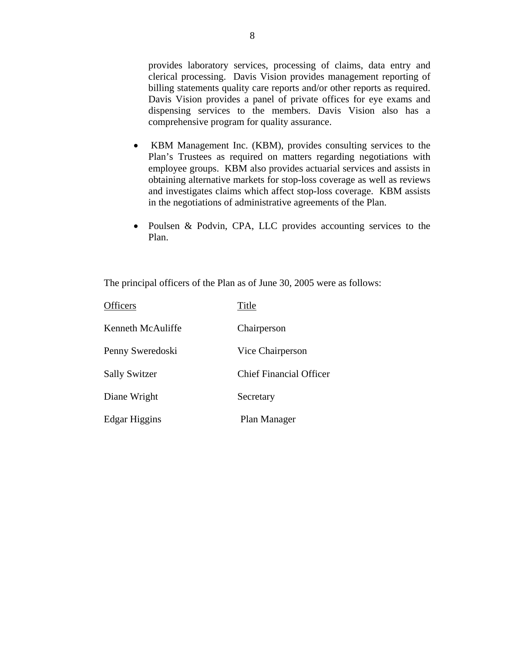provides laboratory services, processing of claims, data entry and clerical processing. Davis Vision provides management reporting of billing statements quality care reports and/or other reports as required. Davis Vision provides a panel of private offices for eye exams and dispensing services to the members. Davis Vision also has a comprehensive program for quality assurance.

- KBM Management Inc. (KBM), provides consulting services to the Plan's Trustees as required on matters regarding negotiations with employee groups. KBM also provides actuarial services and assists in obtaining alternative markets for stop-loss coverage as well as reviews and investigates claims which affect stop-loss coverage. KBM assists in the negotiations of administrative agreements of the Plan.
- Poulsen & Podvin, CPA, LLC provides accounting services to the Plan.

The principal officers of the Plan as of June 30, 2005 were as follows:

| <b>Officers</b>      | Title                          |
|----------------------|--------------------------------|
| Kenneth McAuliffe    | Chairperson                    |
| Penny Sweredoski     | Vice Chairperson               |
| <b>Sally Switzer</b> | <b>Chief Financial Officer</b> |
| Diane Wright         | Secretary                      |
| Edgar Higgins        | Plan Manager                   |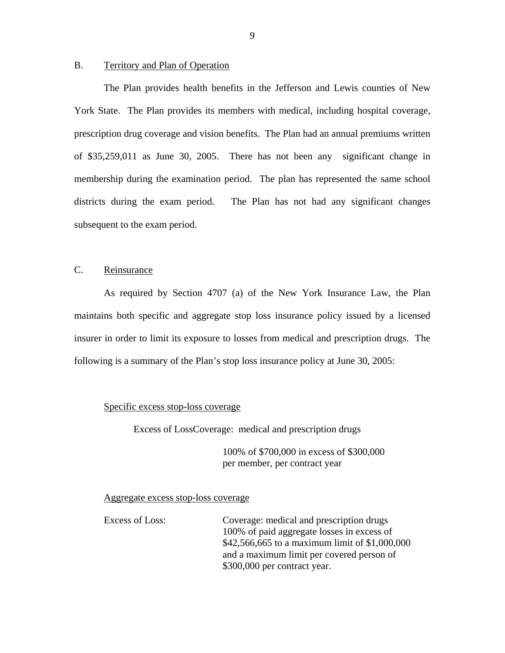#### <span id="page-10-0"></span>B. Territory and Plan of Operation

The Plan provides health benefits in the Jefferson and Lewis counties of New York State. The Plan provides its members with medical, including hospital coverage, prescription drug coverage and vision benefits. The Plan had an annual premiums written of \$35,259,011 as June 30, 2005. There has not been any significant change in membership during the examination period. The plan has represented the same school districts during the exam period. The Plan has not had any significant changes subsequent to the exam period.

# C. Reinsurance

As required by Section 4707 (a) of the New York Insurance Law, the Plan maintains both specific and aggregate stop loss insurance policy issued by a licensed insurer in order to limit its exposure to losses from medical and prescription drugs. The following is a summary of the Plan's stop loss insurance policy at June 30, 2005:

# Specific excess stop-loss coverage

Excess of LossCoverage: medical and prescription drugs

100% of \$700,000 in excess of \$300,000 per member, per contract year

Aggregate excess stop-loss coverage

Excess of Loss: Coverage: medical and prescription drugs 100% of paid aggregate losses in excess of \$42,566,665 to a maximum limit of \$1,000,000 and a maximum limit per covered person of \$300,000 per contract year.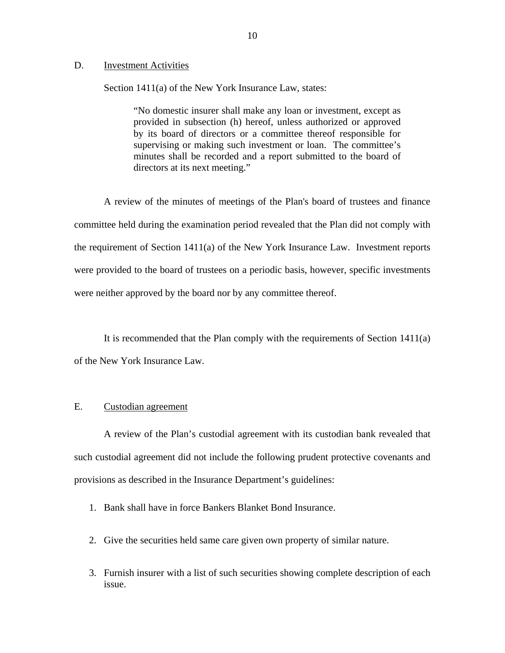#### <span id="page-11-0"></span>D. Investment Activities

Section 1411(a) of the New York Insurance Law, states:

"No domestic insurer shall make any loan or investment, except as provided in subsection (h) hereof, unless authorized or approved by its board of directors or a committee thereof responsible for supervising or making such investment or loan. The committee's minutes shall be recorded and a report submitted to the board of directors at its next meeting."

A review of the minutes of meetings of the Plan's board of trustees and finance committee held during the examination period revealed that the Plan did not comply with the requirement of Section 1411(a) of the New York Insurance Law. Investment reports were provided to the board of trustees on a periodic basis, however, specific investments were neither approved by the board nor by any committee thereof.

It is recommended that the Plan comply with the requirements of Section 1411(a) of the New York Insurance Law.

#### E. Custodian agreement

A review of the Plan's custodial agreement with its custodian bank revealed that such custodial agreement did not include the following prudent protective covenants and provisions as described in the Insurance Department's guidelines:

- 1. Bank shall have in force Bankers Blanket Bond Insurance.
- 2. Give the securities held same care given own property of similar nature.
- 3. Furnish insurer with a list of such securities showing complete description of each issue.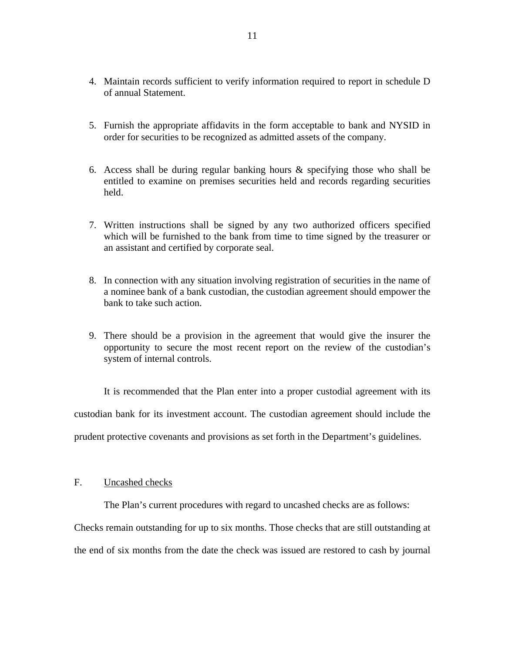- <span id="page-12-0"></span>4. Maintain records sufficient to verify information required to report in schedule D of annual Statement.
- 5. Furnish the appropriate affidavits in the form acceptable to bank and NYSID in order for securities to be recognized as admitted assets of the company.
- 6. Access shall be during regular banking hours  $\&$  specifying those who shall be entitled to examine on premises securities held and records regarding securities held.
- 7. Written instructions shall be signed by any two authorized officers specified which will be furnished to the bank from time to time signed by the treasurer or an assistant and certified by corporate seal.
- 8. In connection with any situation involving registration of securities in the name of a nominee bank of a bank custodian, the custodian agreement should empower the bank to take such action.
- 9. There should be a provision in the agreement that would give the insurer the opportunity to secure the most recent report on the review of the custodian's system of internal controls.

It is recommended that the Plan enter into a proper custodial agreement with its custodian bank for its investment account. The custodian agreement should include the prudent protective covenants and provisions as set forth in the Department's guidelines.

# F. Uncashed checks

The Plan's current procedures with regard to uncashed checks are as follows:

Checks remain outstanding for up to six months. Those checks that are still outstanding at the end of six months from the date the check was issued are restored to cash by journal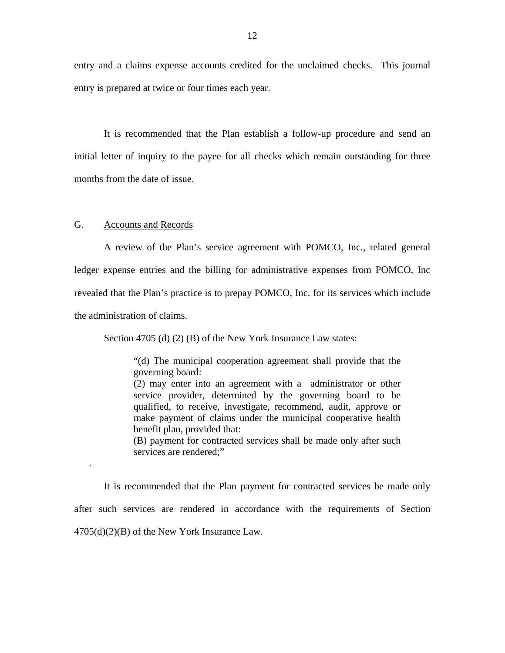<span id="page-13-0"></span>entry and a claims expense accounts credited for the unclaimed checks. This journal entry is prepared at twice or four times each year.

It is recommended that the Plan establish a follow-up procedure and send an initial letter of inquiry to the payee for all checks which remain outstanding for three months from the date of issue.

#### G. Accounts and Records

.

A review of the Plan's service agreement with POMCO, Inc., related general ledger expense entries and the billing for administrative expenses from POMCO, Inc revealed that the Plan's practice is to prepay POMCO, Inc. for its services which include the administration of claims.

Section 4705 (d) (2) (B) of the New York Insurance Law states:

"(d) The municipal cooperation agreement shall provide that the governing board:

(2) may enter into an agreement with a administrator or other service provider, determined by the governing board to be qualified, to receive, investigate, recommend, audit, approve or make payment of claims under the municipal cooperative health benefit plan, provided that:

(B) payment for contracted services shall be made only after such services are rendered;"

It is recommended that the Plan payment for contracted services be made only after such services are rendered in accordance with the requirements of Section  $4705(d)(2)(B)$  of the New York Insurance Law.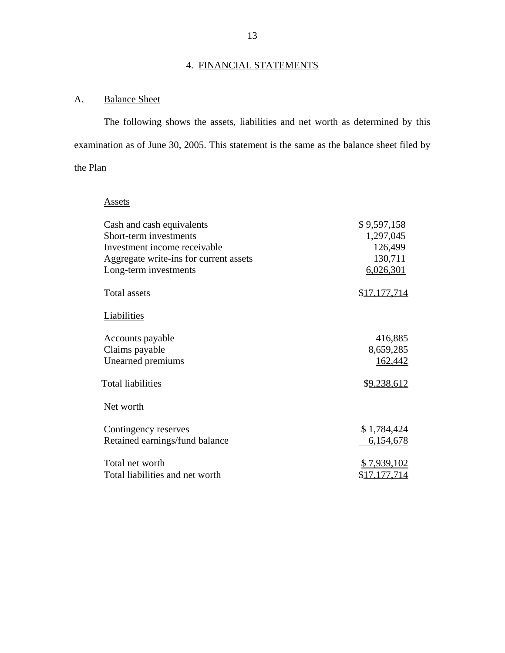# 4. FINANCIAL STATEMENTS

# <span id="page-14-0"></span>A. Balance Sheet

The following shows the assets, liabilities and net worth as determined by this examination as of June 30, 2005. This statement is the same as the balance sheet filed by the Plan

# Assets

|              | Cash and cash equivalents              | \$9,597,158          |
|--------------|----------------------------------------|----------------------|
|              | Short-term investments                 | 1,297,045            |
|              | Investment income receivable           | 126,499              |
|              | Aggregate write-ins for current assets | 130,711              |
|              | Long-term investments                  | 6,026,301            |
| Total assets |                                        | \$17,177,714         |
| Liabilities  |                                        |                      |
|              | Accounts payable                       | 416,885              |
|              | Claims payable                         | 8,659,285            |
|              | Unearned premiums                      | 162,442              |
|              | <b>Total liabilities</b>               | \$9,238,612          |
| Net worth    |                                        |                      |
|              | Contingency reserves                   | \$1,784,424          |
|              | Retained earnings/fund balance         | 6,154,678            |
|              | Total net worth                        | \$7,939,102          |
|              | Total liabilities and net worth        | \$ <u>17,177,714</u> |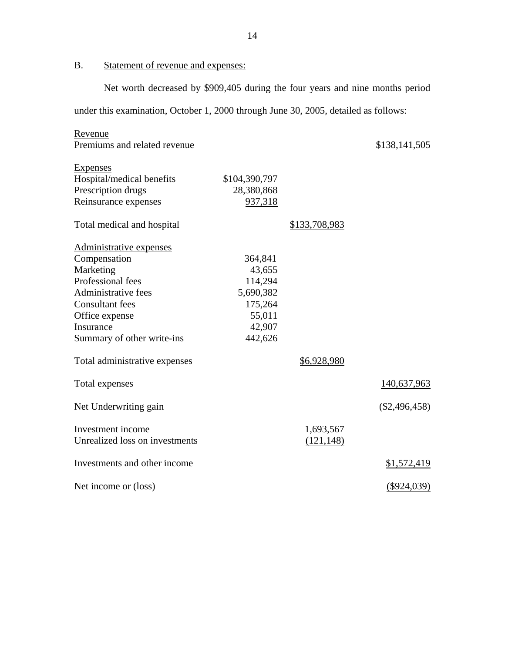B. Statement of revenue and expenses:

Net worth decreased by \$909,405 during the four years and nine months period under this examination, October 1, 2000 through June 30, 2005, detailed as follows:

| Revenue                        |               |               |                 |
|--------------------------------|---------------|---------------|-----------------|
| Premiums and related revenue   |               |               | \$138,141,505   |
| <b>Expenses</b>                |               |               |                 |
| Hospital/medical benefits      | \$104,390,797 |               |                 |
| Prescription drugs             | 28,380,868    |               |                 |
| Reinsurance expenses           | 937,318       |               |                 |
| Total medical and hospital     |               | \$133,708,983 |                 |
| Administrative expenses        |               |               |                 |
| Compensation                   | 364,841       |               |                 |
| Marketing                      | 43,655        |               |                 |
| Professional fees              | 114,294       |               |                 |
| Administrative fees            | 5,690,382     |               |                 |
| <b>Consultant</b> fees         | 175,264       |               |                 |
| Office expense                 | 55,011        |               |                 |
| Insurance                      | 42,907        |               |                 |
| Summary of other write-ins     | 442,626       |               |                 |
| Total administrative expenses  |               | \$6,928,980   |                 |
| Total expenses                 |               |               | 140,637,963     |
| Net Underwriting gain          |               |               | $(\$2,496,458)$ |
| Investment income              |               | 1,693,567     |                 |
| Unrealized loss on investments |               | (121, 148)    |                 |
| Investments and other income   |               |               | \$1,572,419     |
| Net income or (loss)           |               |               | $($ \$924,039)  |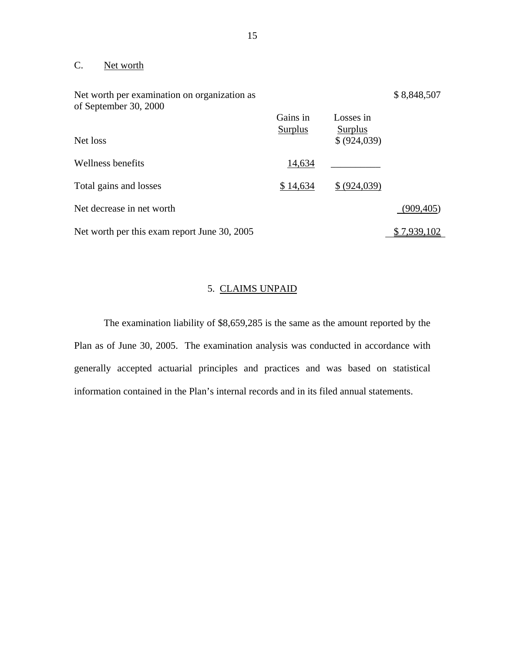# C. Net worth

| Net worth per examination on organization as<br>of September 30, 2000 |                            |                             | \$8,848,507        |
|-----------------------------------------------------------------------|----------------------------|-----------------------------|--------------------|
|                                                                       | Gains in<br><b>Surplus</b> | Losses in<br><b>Surplus</b> |                    |
| Net loss                                                              |                            | \$ (924,039)                |                    |
| Wellness benefits                                                     | 14,634                     |                             |                    |
| Total gains and losses                                                | \$14,634                   | \$ (924,039)                |                    |
| Net decrease in net worth                                             |                            |                             | (909, 405)         |
| Net worth per this exam report June 30, 2005                          |                            |                             | <u>\$7,939,102</u> |

# 5. CLAIMS UNPAID

The examination liability of \$8,659,285 is the same as the amount reported by the Plan as of June 30, 2005. The examination analysis was conducted in accordance with generally accepted actuarial principles and practices and was based on statistical information contained in the Plan's internal records and in its filed annual statements.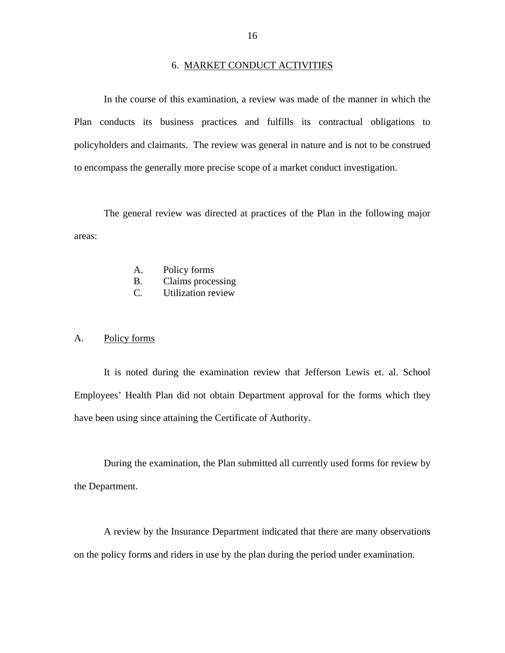#### 6. MARKET CONDUCT ACTIVITIES

<span id="page-17-0"></span>In the course of this examination, a review was made of the manner in which the Plan conducts its business practices and fulfills its contractual obligations to policyholders and claimants. The review was general in nature and is not to be construed to encompass the generally more precise scope of a market conduct investigation.

The general review was directed at practices of the Plan in the following major areas:

- A. Policy forms
- $B<sub>1</sub>$ Claims processing
- C. Utilization review

#### Policy forms

A. Policy forms<br>It is noted during the examination review that Jefferson Lewis et. al. School Employees' Health Plan did not obtain Department approval for the forms which they have been using since attaining the Certificate of Authority.

During the examination, the Plan submitted all currently used forms for review by the Department.

A review by the Insurance Department indicated that there are many observations on the policy forms and riders in use by the plan during the period under examination.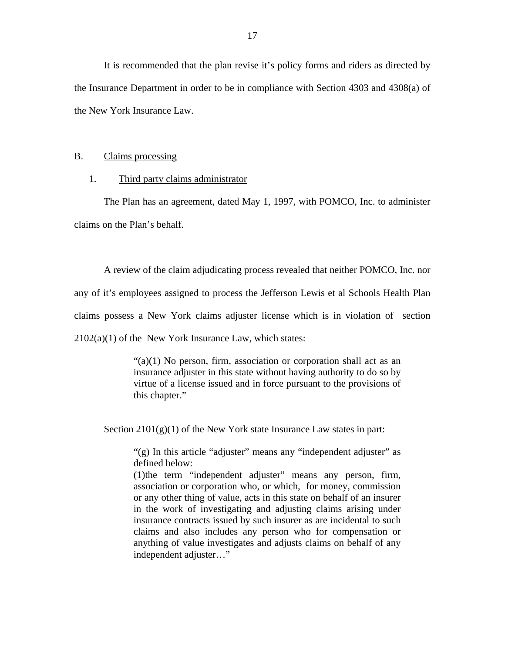It is recommended that the plan revise it's policy forms and riders as directed by the Insurance Department in order to be in compliance with Section 4303 and 4308(a) of the New York Insurance Law.

# B. Claims processing

#### 1. Third party claims administrator

The Plan has an agreement, dated May 1, 1997, with POMCO, Inc. to administer claims on the Plan's behalf.

A review of the claim adjudicating process revealed that neither POMCO, Inc. nor any of it's employees assigned to process the Jefferson Lewis et al Schools Health Plan claims possess a New York claims adjuster license which is in violation of section  $2102(a)(1)$  of the New York Insurance Law, which states:

> "(a)(1) No person, firm, association or corporation shall act as an insurance adjuster in this state without having authority to do so by virtue of a license issued and in force pursuant to the provisions of this chapter."

Section  $2101(g)(1)$  of the New York state Insurance Law states in part:

"(g) In this article "adjuster" means any "independent adjuster" as defined below:

(1)the term "independent adjuster" means any person, firm, association or corporation who, or which, for money, commission or any other thing of value, acts in this state on behalf of an insurer in the work of investigating and adjusting claims arising under insurance contracts issued by such insurer as are incidental to such claims and also includes any person who for compensation or anything of value investigates and adjusts claims on behalf of any independent adjuster..."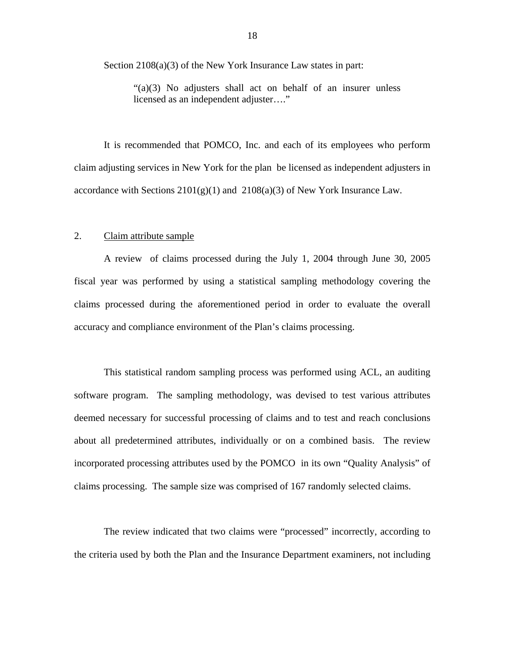Section 2108(a)(3) of the New York Insurance Law states in part:

"(a)(3) No adjusters shall act on behalf of an insurer unless licensed as an independent adjuster…."

It is recommended that POMCO, Inc. and each of its employees who perform claim adjusting services in New York for the plan be licensed as independent adjusters in accordance with Sections  $2101(g)(1)$  and  $2108(a)(3)$  of New York Insurance Law.

# 2. Claim attribute sample

A review of claims processed during the July 1, 2004 through June 30, 2005 fiscal year was performed by using a statistical sampling methodology covering the claims processed during the aforementioned period in order to evaluate the overall accuracy and compliance environment of the Plan's claims processing.

This statistical random sampling process was performed using ACL, an auditing software program. The sampling methodology, was devised to test various attributes deemed necessary for successful processing of claims and to test and reach conclusions about all predetermined attributes, individually or on a combined basis. The review incorporated processing attributes used by the POMCO in its own "Quality Analysis" of claims processing. The sample size was comprised of 167 randomly selected claims.

The review indicated that two claims were "processed" incorrectly, according to the criteria used by both the Plan and the Insurance Department examiners, not including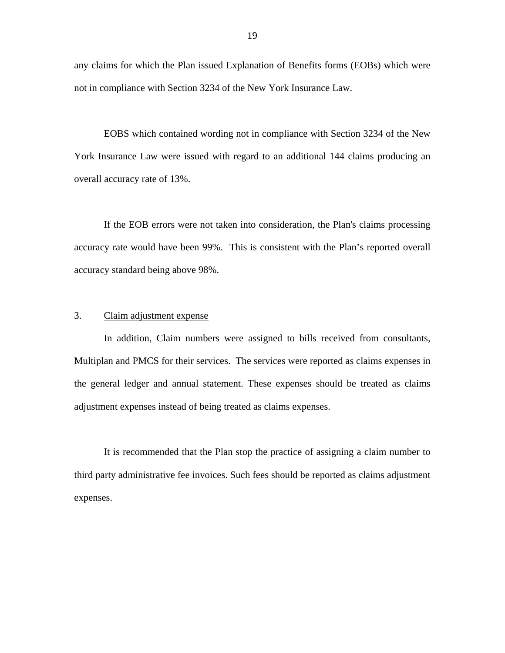any claims for which the Plan issued Explanation of Benefits forms (EOBs) which were not in compliance with Section 3234 of the New York Insurance Law.

EOBS which contained wording not in compliance with Section 3234 of the New York Insurance Law were issued with regard to an additional 144 claims producing an overall accuracy rate of 13%.

If the EOB errors were not taken into consideration, the Plan's claims processing accuracy rate would have been 99%. This is consistent with the Plan's reported overall accuracy standard being above 98%.

#### Claim adjustment expense

3. Claim adjustment expense<br>In addition, Claim numbers were assigned to bills received from consultants, Multiplan and PMCS for their services. The services were reported as claims expenses in the general ledger and annual statement. These expenses should be treated as claims adjustment expenses instead of being treated as claims expenses.

It is recommended that the Plan stop the practice of assigning a claim number to third party administrative fee invoices. Such fees should be reported as claims adjustment expenses.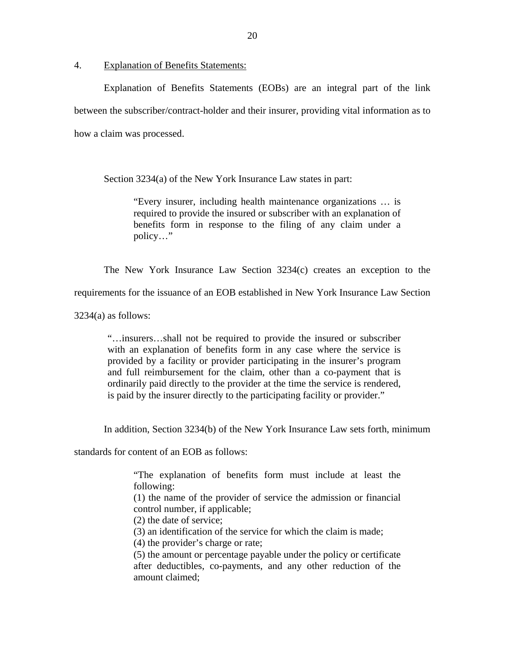4. Explanation of Benefits Statements:

Explanation of Benefits Statements (EOBs) are an integral part of the link between the subscriber/contract-holder and their insurer, providing vital information as to how a claim was processed.

Section 3234(a) of the New York Insurance Law states in part:

"Every insurer, including health maintenance organizations … is required to provide the insured or subscriber with an explanation of benefits form in response to the filing of any claim under a policy…"

The New York Insurance Law Section 3234(c) creates an exception to the

requirements for the issuance of an EOB established in New York Insurance Law Section

 $3234(a)$  as follows:

"…insurers…shall not be required to provide the insured or subscriber with an explanation of benefits form in any case where the service is provided by a facility or provider participating in the insurer's program and full reimbursement for the claim, other than a co-payment that is ordinarily paid directly to the provider at the time the service is rendered, is paid by the insurer directly to the participating facility or provider."

In addition, Section 3234(b) of the New York Insurance Law sets forth, minimum

standards for content of an EOB as follows:

"The explanation of benefits form must include at least the following:

(1) the name of the provider of service the admission or financial control number, if applicable;

(2) the date of service;

(3) an identification of the service for which the claim is made;

(4) the provider's charge or rate;

(5) the amount or percentage payable under the policy or certificate after deductibles, co-payments, and any other reduction of the amount claimed;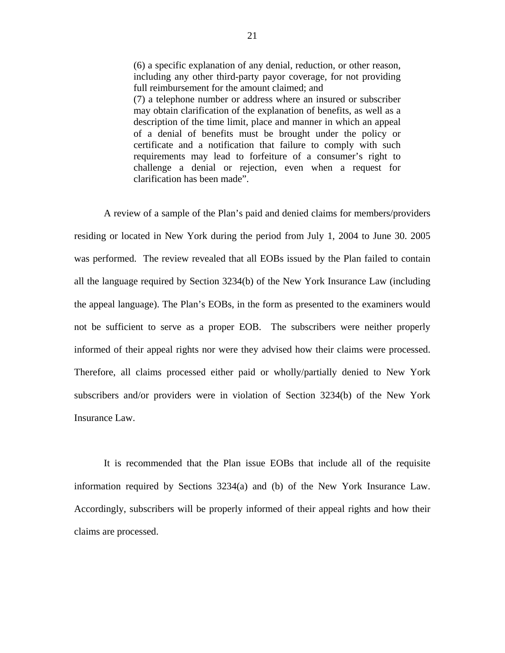(6) a specific explanation of any denial, reduction, or other reason, including any other third-party payor coverage, for not providing full reimbursement for the amount claimed; and (7) a telephone number or address where an insured or subscriber may obtain clarification of the explanation of benefits, as well as a description of the time limit, place and manner in which an appeal of a denial of benefits must be brought under the policy or certificate and a notification that failure to comply with such requirements may lead to forfeiture of a consumer's right to challenge a denial or rejection, even when a request for clarification has been made".

A review of a sample of the Plan's paid and denied claims for members/providers residing or located in New York during the period from July 1, 2004 to June 30. 2005 was performed. The review revealed that all EOBs issued by the Plan failed to contain all the language required by Section 3234(b) of the New York Insurance Law (including the appeal language). The Plan's EOBs, in the form as presented to the examiners would not be sufficient to serve as a proper EOB. The subscribers were neither properly informed of their appeal rights nor were they advised how their claims were processed. Therefore, all claims processed either paid or wholly/partially denied to New York subscribers and/or providers were in violation of Section 3234(b) of the New York Insurance Law.

It is recommended that the Plan issue EOBs that include all of the requisite information required by Sections 3234(a) and (b) of the New York Insurance Law. Accordingly, subscribers will be properly informed of their appeal rights and how their claims are processed.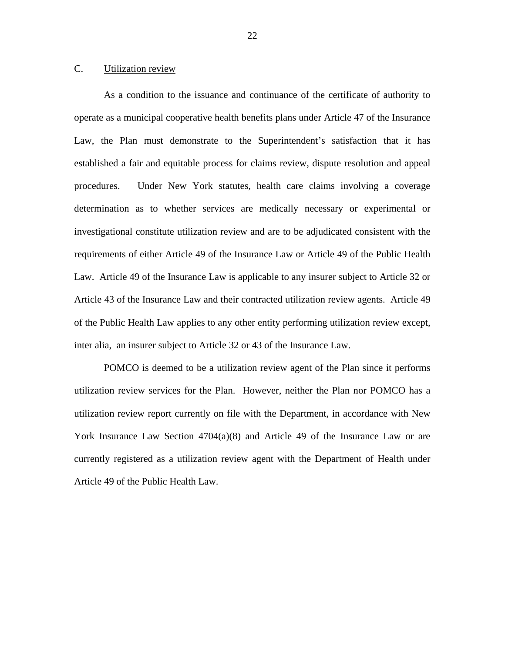# C. Utilization review

 of the Public Health Law applies to any other entity performing utilization review except, inter alia, an insurer subject to Article 32 or 43 of the Insurance Law. As a condition to the issuance and continuance of the certificate of authority to operate as a municipal cooperative health benefits plans under Article 47 of the Insurance Law, the Plan must demonstrate to the Superintendent's satisfaction that it has established a fair and equitable process for claims review, dispute resolution and appeal procedures. Under New York statutes, health care claims involving a coverage determination as to whether services are medically necessary or experimental or investigational constitute utilization review and are to be adjudicated consistent with the requirements of either Article 49 of the Insurance Law or Article 49 of the Public Health Law. Article 49 of the Insurance Law is applicable to any insurer subject to Article 32 or Article 43 of the Insurance Law and their contracted utilization review agents. Article 49

POMCO is deemed to be a utilization review agent of the Plan since it performs utilization review services for the Plan. However, neither the Plan nor POMCO has a utilization review report currently on file with the Department, in accordance with New York Insurance Law Section 4704(a)(8) and Article 49 of the Insurance Law or are currently registered as a utilization review agent with the Department of Health under Article 49 of the Public Health Law.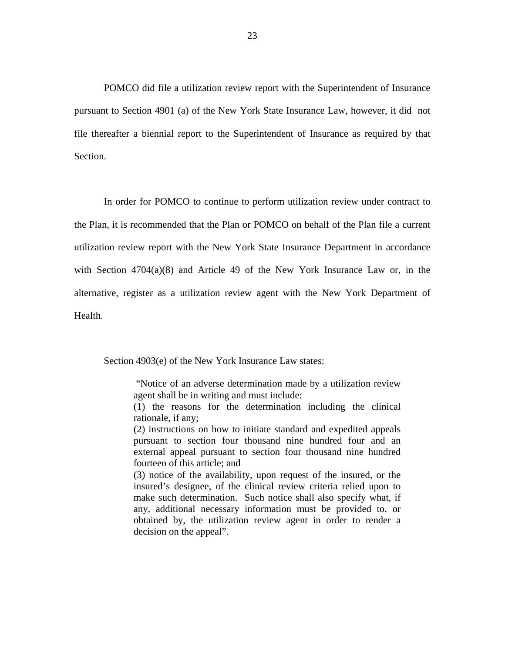POMCO did file a utilization review report with the Superintendent of Insurance pursuant to Section 4901 (a) of the New York State Insurance Law, however, it did not file thereafter a biennial report to the Superintendent of Insurance as required by that Section.

In order for POMCO to continue to perform utilization review under contract to the Plan, it is recommended that the Plan or POMCO on behalf of the Plan file a current utilization review report with the New York State Insurance Department in accordance with Section 4704(a)(8) and Article 49 of the New York Insurance Law or, in the alternative, register as a utilization review agent with the New York Department of Health.

Section 4903(e) of the New York Insurance Law states:

"Notice of an adverse determination made by a utilization review agent shall be in writing and must include:

(1) the reasons for the determination including the clinical rationale, if any;

(2) instructions on how to initiate standard and expedited appeals pursuant to section four thousand nine hundred four and an external appeal pursuant to section four thousand nine hundred fourteen of this article; and

(3) notice of the availability, upon request of the insured, or the insured's designee, of the clinical review criteria relied upon to make such determination. Such notice shall also specify what, if any, additional necessary information must be provided to, or obtained by, the utilization review agent in order to render a decision on the appeal".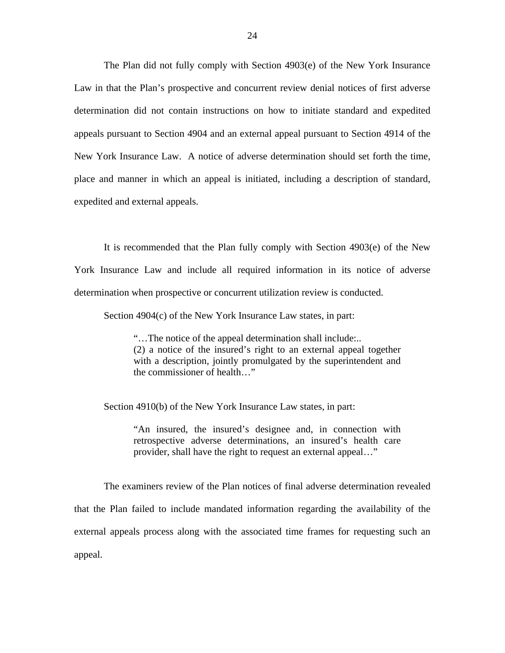The Plan did not fully comply with Section 4903(e) of the New York Insurance Law in that the Plan's prospective and concurrent review denial notices of first adverse determination did not contain instructions on how to initiate standard and expedited appeals pursuant to Section 4904 and an external appeal pursuant to Section 4914 of the New York Insurance Law. A notice of adverse determination should set forth the time, place and manner in which an appeal is initiated, including a description of standard, expedited and external appeals.

It is recommended that the Plan fully comply with Section 4903(e) of the New York Insurance Law and include all required information in its notice of adverse determination when prospective or concurrent utilization review is conducted.

Section 4904(c) of the New York Insurance Law states, in part:

"…The notice of the appeal determination shall include:.. (2) a notice of the insured's right to an external appeal together with a description, jointly promulgated by the superintendent and the commissioner of health…"

Section 4910(b) of the New York Insurance Law states, in part:

"An insured, the insured's designee and, in connection with retrospective adverse determinations, an insured's health care provider, shall have the right to request an external appeal…"

The examiners review of the Plan notices of final adverse determination revealed that the Plan failed to include mandated information regarding the availability of the external appeals process along with the associated time frames for requesting such an appeal.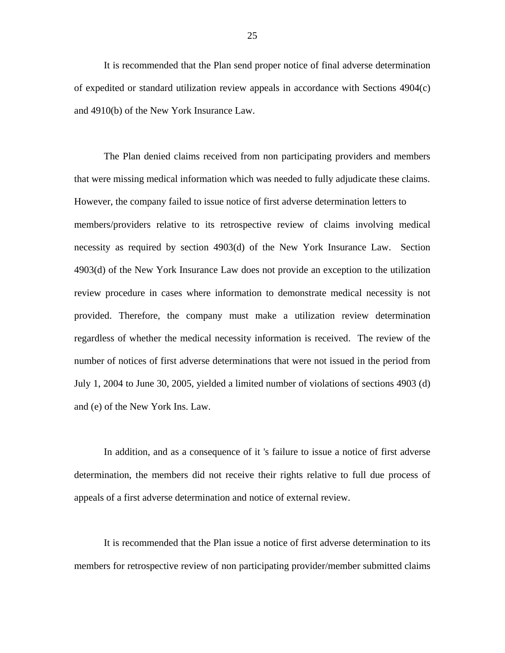It is recommended that the Plan send proper notice of final adverse determination of expedited or standard utilization review appeals in accordance with Sections 4904(c) and 4910(b) of the New York Insurance Law.

The Plan denied claims received from non participating providers and members that were missing medical information which was needed to fully adjudicate these claims. However, the company failed to issue notice of first adverse determination letters to members/providers relative to its retrospective review of claims involving medical necessity as required by section 4903(d) of the New York Insurance Law. Section 4903(d) of the New York Insurance Law does not provide an exception to the utilization review procedure in cases where information to demonstrate medical necessity is not provided. Therefore, the company must make a utilization review determination regardless of whether the medical necessity information is received. The review of the number of notices of first adverse determinations that were not issued in the period from July 1, 2004 to June 30, 2005, yielded a limited number of violations of sections 4903 (d) and (e) of the New York Ins. Law.

In addition, and as a consequence of it 's failure to issue a notice of first adverse determination, the members did not receive their rights relative to full due process of appeals of a first adverse determination and notice of external review.

It is recommended that the Plan issue a notice of first adverse determination to its members for retrospective review of non participating provider/member submitted claims

25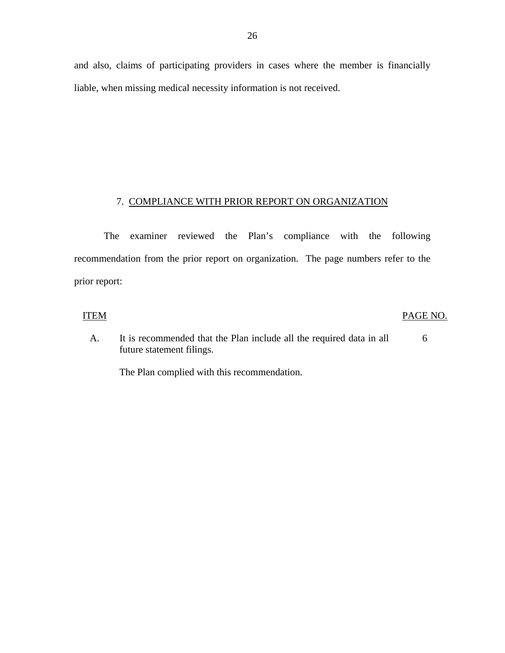# 7. COMPLIANCE WITH PRIOR REPORT ON ORGANIZATION

The examiner reviewed the Plan's compliance with the following recommendation from the prior report on organization. The page numbers refer to the prior report:

### **ITEM**

#### PAGE NO.

A. It is recommended that the Plan include all the required data in all future statement filings. 6

The Plan complied with this recommendation.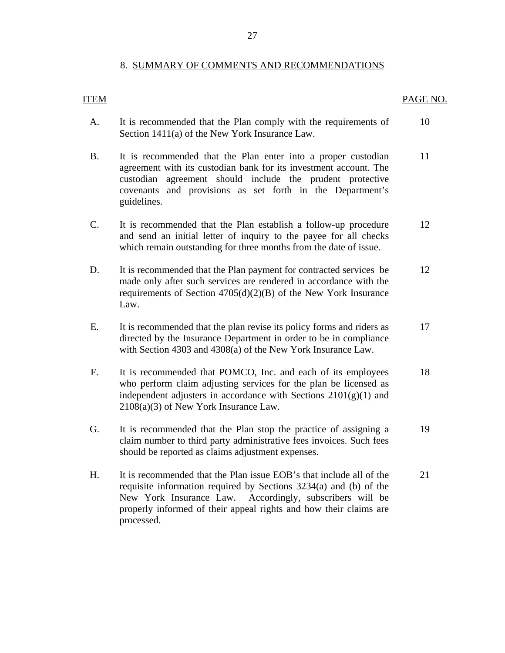## 8. SUMMARY OF COMMENTS AND RECOMMENDATIONS

# <span id="page-28-0"></span>**ITEM**

#### PAGE NO.

- A. It is recommended that the Plan comply with the requirements of Section 1411(a) of the New York Insurance Law. 10
- B. It is recommended that the Plan enter into a proper custodian agreement with its custodian bank for its investment account. The custodian agreement should include the prudent protective covenants and provisions as set forth in the Department's guidelines. 11
- C. It is recommended that the Plan establish a follow-up procedure and send an initial letter of inquiry to the payee for all checks which remain outstanding for three months from the date of issue. 12
- D. It is recommended that the Plan payment for contracted services be made only after such services are rendered in accordance with the requirements of Section 4705(d)(2)(B) of the New York Insurance Law. 12
- E. It is recommended that the plan revise its policy forms and riders as directed by the Insurance Department in order to be in compliance with Section 4303 and 4308(a) of the New York Insurance Law. 17
- F. It is recommended that POMCO, Inc. and each of its employees who perform claim adjusting services for the plan be licensed as independent adjusters in accordance with Sections  $2101(g)(1)$  and 2108(a)(3) of New York Insurance Law. 18
- G. It is recommended that the Plan stop the practice of assigning a claim number to third party administrative fees invoices. Such fees should be reported as claims adjustment expenses. 19
- H. It is recommended that the Plan issue EOB's that include all of the requisite information required by Sections 3234(a) and (b) of the New York Insurance Law. Accordingly, subscribers will be properly informed of their appeal rights and how their claims are processed. 21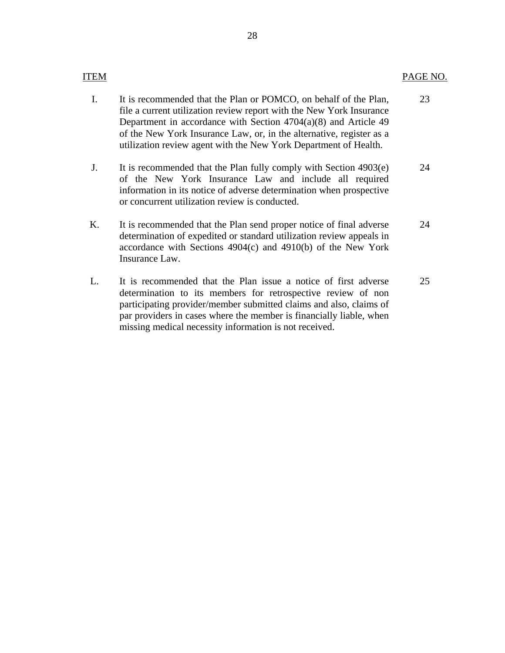# **ITEM**

- I. It is recommended that the Plan or POMCO, on behalf of the Plan, file a current utilization review report with the New York Insurance Department in accordance with Section 4704(a)(8) and Article 49 of the New York Insurance Law, or, in the alternative, register as a utilization review agent with the New York Department of Health. 23
- J. It is recommended that the Plan fully comply with Section 4903(e) of the New York Insurance Law and include all required information in its notice of adverse determination when prospective or concurrent utilization review is conducted. 24
- K. It is recommended that the Plan send proper notice of final adverse determination of expedited or standard utilization review appeals in accordance with Sections 4904(c) and 4910(b) of the New York Insurance Law. 24
- L. It is recommended that the Plan issue a notice of first adverse determination to its members for retrospective review of non participating provider/member submitted claims and also, claims of par providers in cases where the member is financially liable, when missing medical necessity information is not received. 25